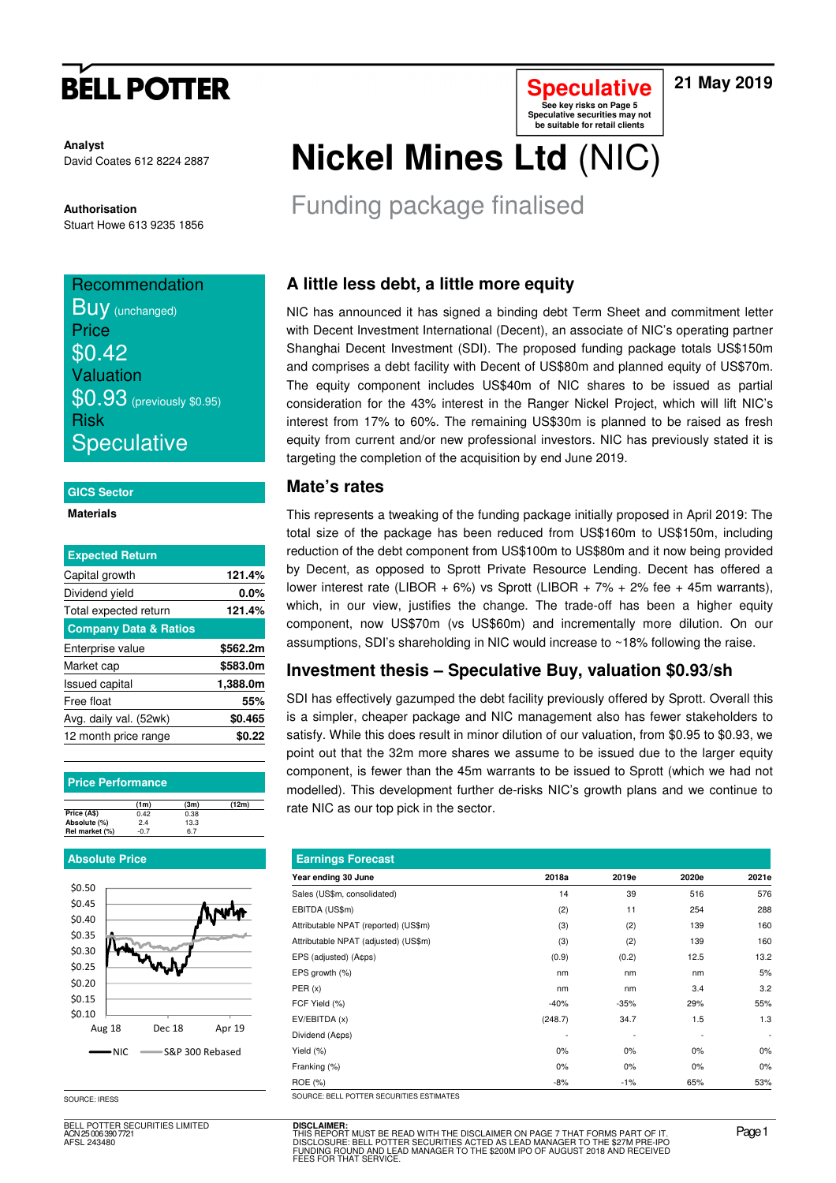# **BELL POTTER**

### **21 May 2019**

**Analyst** David Coates 612 8224 2887

**Authorisation**  Stuart Howe 613 9235 1856

## **Recommendation**

**BUV** (unchanged) **Price**  $$0.42$ Valuation \$0.93 (previously \$0.95) Risk **Speculative** 

#### **GICS Sector**

#### **Materials**

| <b>Expected Return</b>           |          |
|----------------------------------|----------|
| Capital growth                   | 121.4%   |
| Dividend yield                   | $0.0\%$  |
| Total expected return            | 121.4%   |
| <b>Company Data &amp; Ratios</b> |          |
| Enterprise value                 | \$562.2m |
| Market cap                       | \$583.0m |
| <b>Issued capital</b>            | 1,388.0m |
| Free float                       | 55%      |
| Avg. daily val. (52wk)           | \$0.465  |
| 12 month price range             | SO.22    |

#### **Price Performance**

|                | (1m) | (3m) | (12m) |
|----------------|------|------|-------|
| Price (A\$)    | 0.42 | 0.38 |       |
| Absolute (%)   | 2.4  | 13.3 |       |
| Rel market (%) | -ሰ 7 | 6.7  |       |

#### **Absolute Price**



SOURCE: IRESS

BELL POTTER SECURITIES LIMITED ACN 25 006 390 7721 AFSL 243480

# **Nickel Mines Ltd** (NIC)

Funding package finalised

## **A little less debt, a little more equity**

NIC has announced it has signed a binding debt Term Sheet and commitment letter with Decent Investment International (Decent), an associate of NIC's operating partner Shanghai Decent Investment (SDI). The proposed funding package totals US\$150m and comprises a debt facility with Decent of US\$80m and planned equity of US\$70m. The equity component includes US\$40m of NIC shares to be issued as partial consideration for the 43% interest in the Ranger Nickel Project, which will lift NIC's interest from 17% to 60%. The remaining US\$30m is planned to be raised as fresh equity from current and/or new professional investors. NIC has previously stated it is targeting the completion of the acquisition by end June 2019.

**Speculative See key risks on Page 5 Speculative securities may not be suitable for retail clients** 

#### **Mate's rates**

This represents a tweaking of the funding package initially proposed in April 2019: The total size of the package has been reduced from US\$160m to US\$150m, including reduction of the debt component from US\$100m to US\$80m and it now being provided by Decent, as opposed to Sprott Private Resource Lending. Decent has offered a lower interest rate (LIBOR + 6%) vs Sprott (LIBOR + 7% + 2% fee + 45m warrants), which, in our view, justifies the change. The trade-off has been a higher equity component, now US\$70m (vs US\$60m) and incrementally more dilution. On our assumptions, SDI's shareholding in NIC would increase to ~18% following the raise.

### **Investment thesis – Speculative Buy, valuation \$0.93/sh**

SDI has effectively gazumped the debt facility previously offered by Sprott. Overall this is a simpler, cheaper package and NIC management also has fewer stakeholders to satisfy. While this does result in minor dilution of our valuation, from \$0.95 to \$0.93, we point out that the 32m more shares we assume to be issued due to the larger equity component, is fewer than the 45m warrants to be issued to Sprott (which we had not modelled). This development further de-risks NIC's growth plans and we continue to rate NIC as our top pick in the sector.

| <b>Earnings Forecast</b>             |         |        |       |       |
|--------------------------------------|---------|--------|-------|-------|
| Year ending 30 June                  | 2018a   | 2019e  | 2020e | 2021e |
| Sales (US\$m, consolidated)          | 14      | 39     | 516   | 576   |
| EBITDA (US\$m)                       | (2)     | 11     | 254   | 288   |
| Attributable NPAT (reported) (US\$m) | (3)     | (2)    | 139   | 160   |
| Attributable NPAT (adjusted) (US\$m) | (3)     | (2)    | 139   | 160   |
| EPS (adjusted) (A¢ps)                | (0.9)   | (0.2)  | 12.5  | 13.2  |
| EPS growth (%)                       | nm      | nm     | nm    | 5%    |
| PER(x)                               | nm      | nm     | 3.4   | 3.2   |
| FCF Yield (%)                        | $-40%$  | $-35%$ | 29%   | 55%   |
| EV/EBITDA (x)                        | (248.7) | 34.7   | 1.5   | 1.3   |
| Dividend (A¢ps)                      |         |        |       |       |
| Yield (%)                            | $0\%$   | 0%     | $0\%$ | 0%    |
| Franking (%)                         | $0\%$   | 0%     | $0\%$ | 0%    |
| ROE (%)                              | $-8%$   | $-1%$  | 65%   | 53%   |

**DISCLAIMER:** THIS REPORT MUST BE READ WITH THE DISCLAIMER ON PAGE 7 THAT FORMS PART OF IT.<br>DISCLOSURE: BELL POTTER SECURITIES ACTED AS LEAD MANAGER TO THE \$27M PRE-IPO<br>FUNDING ROUND AND LEAD MANAGER TO THE \$200M IPO OF AUGUST 2018 AND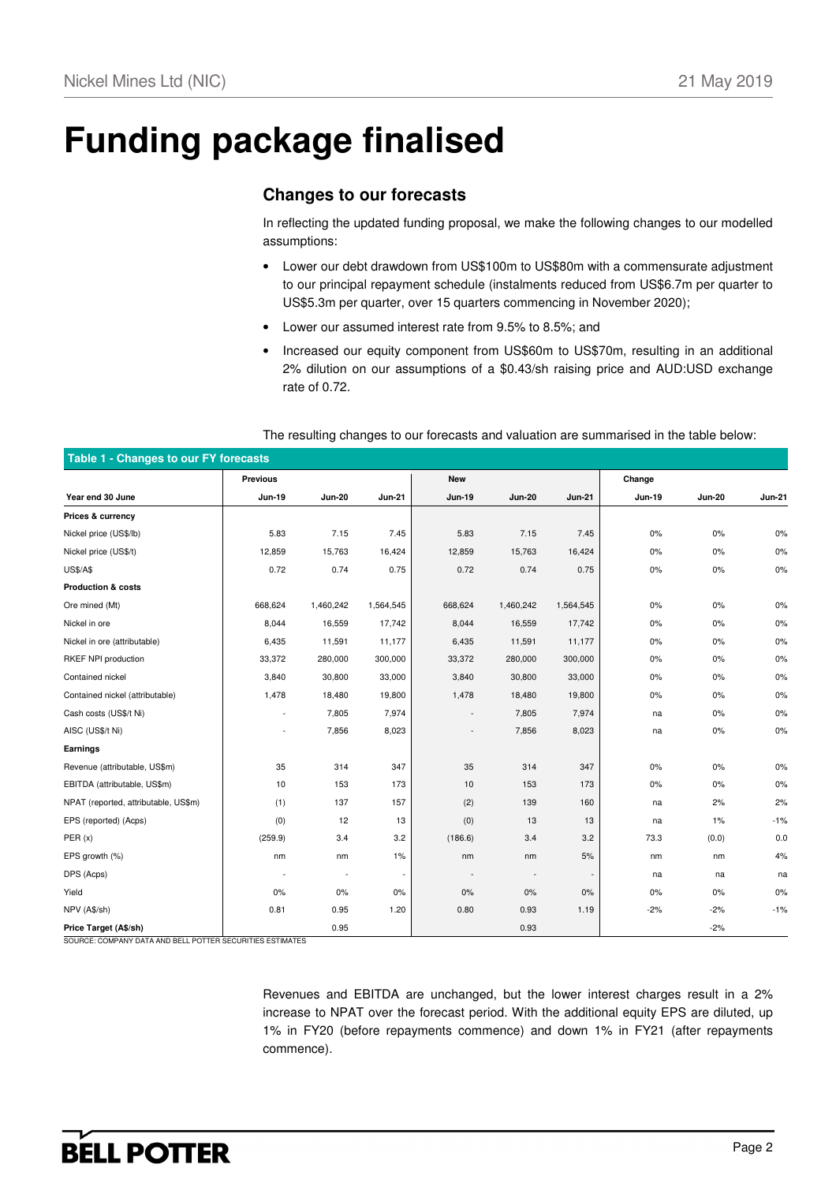# **Funding package finalised**

## **Changes to our forecasts**

In reflecting the updated funding proposal, we make the following changes to our modelled assumptions:

- Lower our debt drawdown from US\$100m to US\$80m with a commensurate adjustment to our principal repayment schedule (instalments reduced from US\$6.7m per quarter to US\$5.3m per quarter, over 15 quarters commencing in November 2020);
- Lower our assumed interest rate from 9.5% to 8.5%; and
- Increased our equity component from US\$60m to US\$70m, resulting in an additional 2% dilution on our assumptions of a \$0.43/sh raising price and AUD:USD exchange rate of 0.72.

| Table 1 - Changes to our FY forecasts |                 |               |                          |               |               |               |               |               |               |
|---------------------------------------|-----------------|---------------|--------------------------|---------------|---------------|---------------|---------------|---------------|---------------|
|                                       | <b>Previous</b> |               |                          | <b>New</b>    |               |               | Change        |               |               |
| Year end 30 June                      | <b>Jun-19</b>   | <b>Jun-20</b> | <b>Jun-21</b>            | <b>Jun-19</b> | <b>Jun-20</b> | <b>Jun-21</b> | <b>Jun-19</b> | <b>Jun-20</b> | <b>Jun-21</b> |
| Prices & currency                     |                 |               |                          |               |               |               |               |               |               |
| Nickel price (US\$/lb)                | 5.83            | 7.15          | 7.45                     | 5.83          | 7.15          | 7.45          | 0%            | 0%            | 0%            |
| Nickel price (US\$/t)                 | 12,859          | 15,763        | 16,424                   | 12,859        | 15,763        | 16,424        | 0%            | 0%            | 0%            |
| <b>US\$/A\$</b>                       | 0.72            | 0.74          | 0.75                     | 0.72          | 0.74          | 0.75          | $0\%$         | $0\%$         | 0%            |
| <b>Production &amp; costs</b>         |                 |               |                          |               |               |               |               |               |               |
| Ore mined (Mt)                        | 668,624         | 1,460,242     | 1,564,545                | 668,624       | 1,460,242     | 1,564,545     | $0\%$         | $0\%$         | 0%            |
| Nickel in ore                         | 8,044           | 16,559        | 17,742                   | 8,044         | 16,559        | 17,742        | $0\%$         | $0\%$         | 0%            |
| Nickel in ore (attributable)          | 6,435           | 11,591        | 11,177                   | 6,435         | 11,591        | 11,177        | 0%            | 0%            | 0%            |
| RKEF NPI production                   | 33,372          | 280,000       | 300,000                  | 33,372        | 280,000       | 300,000       | $0\%$         | $0\%$         | 0%            |
| Contained nickel                      | 3,840           | 30,800        | 33,000                   | 3,840         | 30,800        | 33,000        | 0%            | $0\%$         | 0%            |
| Contained nickel (attributable)       | 1,478           | 18,480        | 19,800                   | 1,478         | 18,480        | 19,800        | 0%            | 0%            | 0%            |
| Cash costs (US\$/t Ni)                | ٠               | 7,805         | 7,974                    | $\sim$        | 7,805         | 7,974         | na            | $0\%$         | 0%            |
| AISC (US\$/t Ni)                      | ÷,              | 7,856         | 8,023                    |               | 7,856         | 8,023         | na            | $0\%$         | 0%            |
| Earnings                              |                 |               |                          |               |               |               |               |               |               |
| Revenue (attributable, US\$m)         | 35              | 314           | 347                      | 35            | 314           | 347           | $0\%$         | $0\%$         | 0%            |
| EBITDA (attributable, US\$m)          | 10              | 153           | 173                      | $10$          | 153           | 173           | 0%            | 0%            | 0%            |
| NPAT (reported, attributable, US\$m)  | (1)             | 137           | 157                      | (2)           | 139           | 160           | na            | 2%            | 2%            |
| EPS (reported) (Acps)                 | (0)             | 12            | 13                       | (0)           | 13            | 13            | na            | 1%            | $-1%$         |
| PER(x)                                | (259.9)         | 3.4           | 3.2                      | (186.6)       | 3.4           | 3.2           | 73.3          | (0.0)         | 0.0           |
| EPS growth (%)                        | nm              | nm            | 1%                       | nm            | nm            | 5%            | nm            | nm            | 4%            |
| DPS (Acps)                            |                 | $\sim$        | $\overline{\phantom{a}}$ |               |               |               | na            | na            | na            |
| Yield                                 | $0\%$           | 0%            | 0%                       | $0\%$         | 0%            | 0%            | $0\%$         | $0\%$         | 0%            |
| NPV (A\$/sh)                          | 0.81            | 0.95          | 1.20                     | 0.80          | 0.93          | 1.19          | $-2%$         | $-2%$         | $-1%$         |
| Price Target (A\$/sh)                 |                 | 0.95          |                          |               | 0.93          |               |               | $-2%$         |               |

The resulting changes to our forecasts and valuation are summarised in the table below:

SOURCE: COMPANY DATA AND BELL POTTER SECURITIES ESTIMATES

Revenues and EBITDA are unchanged, but the lower interest charges result in a 2% increase to NPAT over the forecast period. With the additional equity EPS are diluted, up 1% in FY20 (before repayments commence) and down 1% in FY21 (after repayments commence).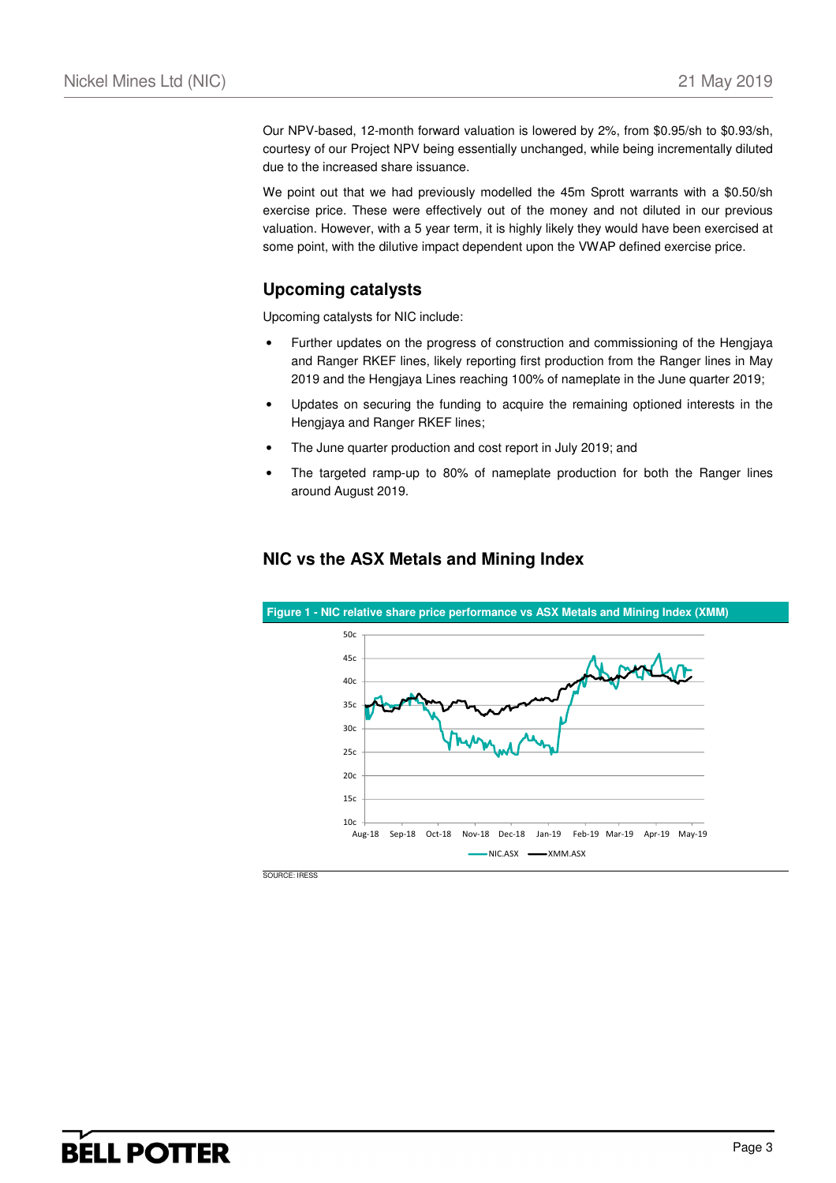Our NPV-based, 12-month forward valuation is lowered by 2%, from \$0.95/sh to \$0.93/sh, courtesy of our Project NPV being essentially unchanged, while being incrementally diluted due to the increased share issuance.

We point out that we had previously modelled the 45m Sprott warrants with a \$0.50/sh exercise price. These were effectively out of the money and not diluted in our previous valuation. However, with a 5 year term, it is highly likely they would have been exercised at some point, with the dilutive impact dependent upon the VWAP defined exercise price.

## **Upcoming catalysts**

Upcoming catalysts for NIC include:

- Further updates on the progress of construction and commissioning of the Hengjaya and Ranger RKEF lines, likely reporting first production from the Ranger lines in May 2019 and the Hengjaya Lines reaching 100% of nameplate in the June quarter 2019;
- Updates on securing the funding to acquire the remaining optioned interests in the Hengjaya and Ranger RKEF lines;
- The June quarter production and cost report in July 2019; and
- The targeted ramp-up to 80% of nameplate production for both the Ranger lines around August 2019.



### **NIC vs the ASX Metals and Mining Index**

SOURCE: IRESS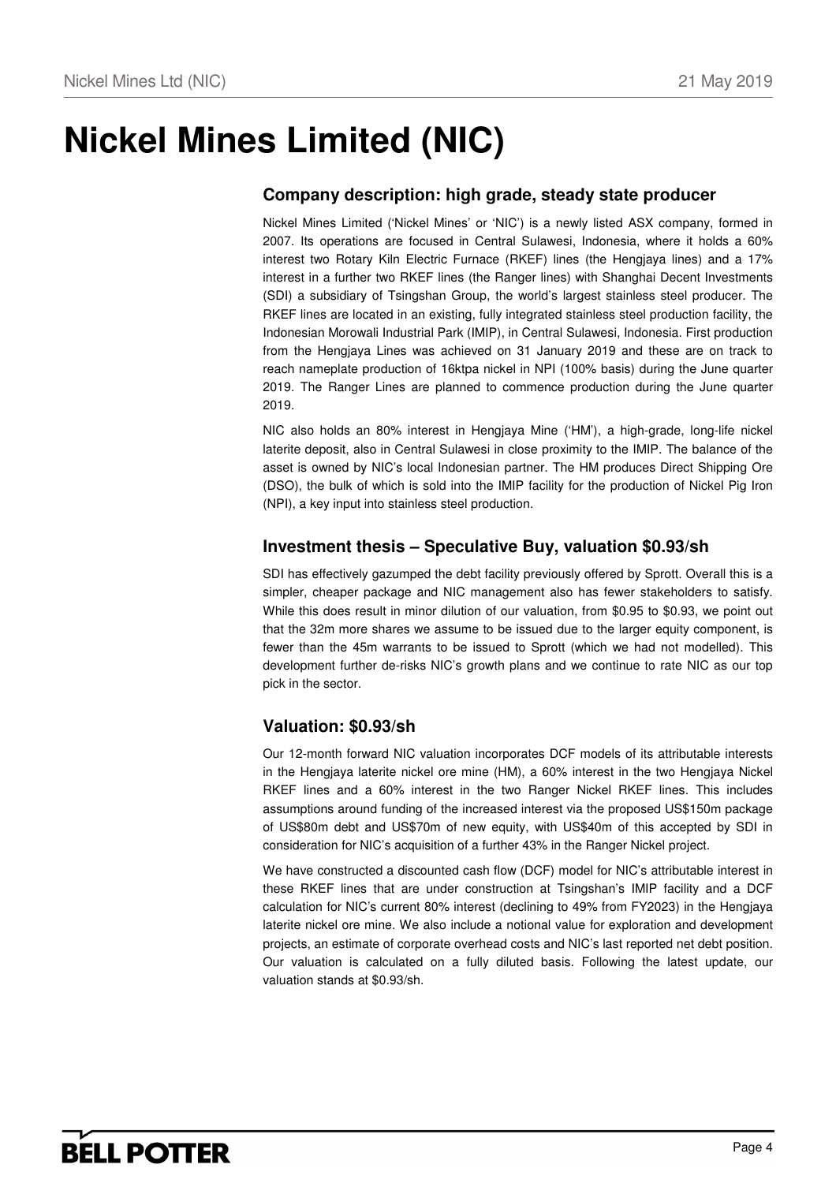# **Nickel Mines Limited (NIC)**

## **Company description: high grade, steady state producer**

Nickel Mines Limited ('Nickel Mines' or 'NIC') is a newly listed ASX company, formed in 2007. Its operations are focused in Central Sulawesi, Indonesia, where it holds a 60% interest two Rotary Kiln Electric Furnace (RKEF) lines (the Hengjaya lines) and a 17% interest in a further two RKEF lines (the Ranger lines) with Shanghai Decent Investments (SDI) a subsidiary of Tsingshan Group, the world's largest stainless steel producer. The RKEF lines are located in an existing, fully integrated stainless steel production facility, the Indonesian Morowali Industrial Park (IMIP), in Central Sulawesi, Indonesia. First production from the Hengjaya Lines was achieved on 31 January 2019 and these are on track to reach nameplate production of 16ktpa nickel in NPI (100% basis) during the June quarter 2019. The Ranger Lines are planned to commence production during the June quarter 2019.

NIC also holds an 80% interest in Hengjaya Mine ('HM'), a high-grade, long-life nickel laterite deposit, also in Central Sulawesi in close proximity to the IMIP. The balance of the asset is owned by NIC's local Indonesian partner. The HM produces Direct Shipping Ore (DSO), the bulk of which is sold into the IMIP facility for the production of Nickel Pig Iron (NPI), a key input into stainless steel production.

## **Investment thesis – Speculative Buy, valuation \$0.93/sh**

SDI has effectively gazumped the debt facility previously offered by Sprott. Overall this is a simpler, cheaper package and NIC management also has fewer stakeholders to satisfy. While this does result in minor dilution of our valuation, from \$0.95 to \$0.93, we point out that the 32m more shares we assume to be issued due to the larger equity component, is fewer than the 45m warrants to be issued to Sprott (which we had not modelled). This development further de-risks NIC's growth plans and we continue to rate NIC as our top pick in the sector.

## **Valuation: \$0.93/sh**

Our 12-month forward NIC valuation incorporates DCF models of its attributable interests in the Hengjaya laterite nickel ore mine (HM), a 60% interest in the two Hengjaya Nickel RKEF lines and a 60% interest in the two Ranger Nickel RKEF lines. This includes assumptions around funding of the increased interest via the proposed US\$150m package of US\$80m debt and US\$70m of new equity, with US\$40m of this accepted by SDI in consideration for NIC's acquisition of a further 43% in the Ranger Nickel project.

We have constructed a discounted cash flow (DCF) model for NIC's attributable interest in these RKEF lines that are under construction at Tsingshan's IMIP facility and a DCF calculation for NIC's current 80% interest (declining to 49% from FY2023) in the Hengjaya laterite nickel ore mine. We also include a notional value for exploration and development projects, an estimate of corporate overhead costs and NIC's last reported net debt position. Our valuation is calculated on a fully diluted basis. Following the latest update, our valuation stands at \$0.93/sh.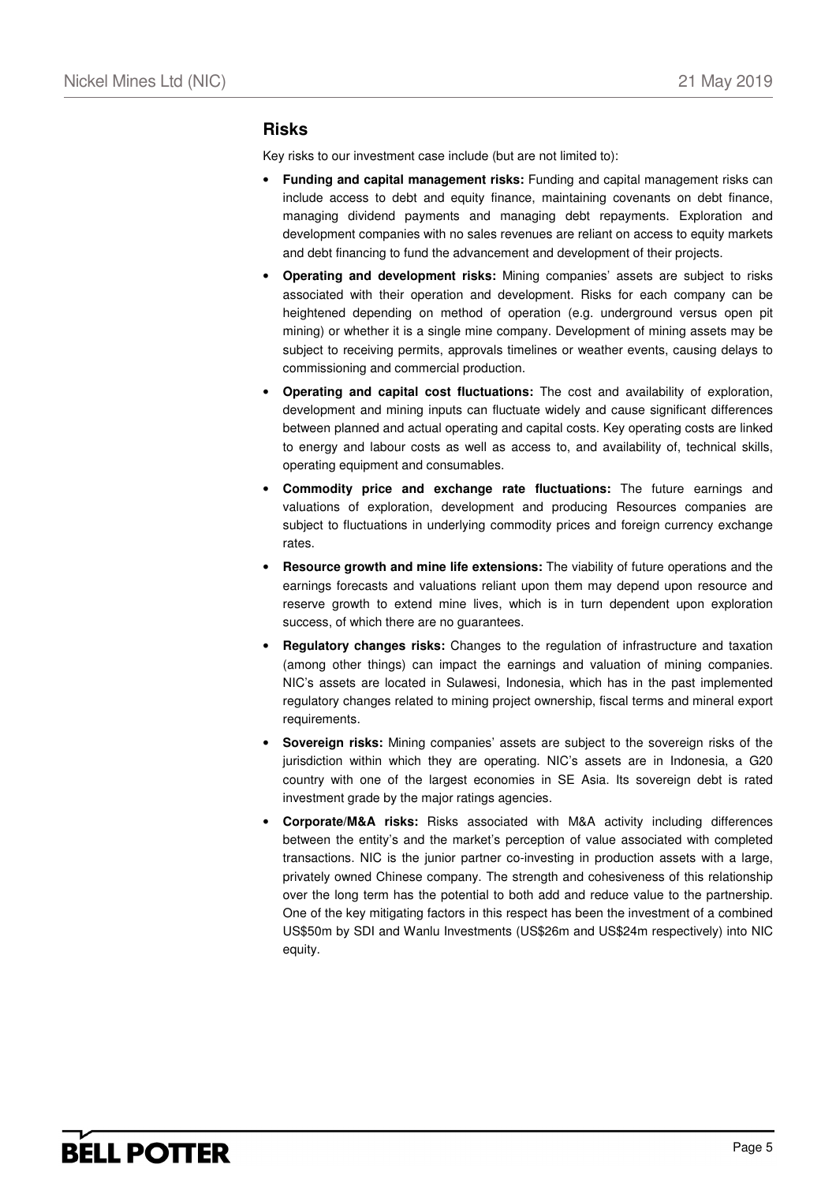#### **Risks**

Key risks to our investment case include (but are not limited to):

- **Funding and capital management risks:** Funding and capital management risks can include access to debt and equity finance, maintaining covenants on debt finance, managing dividend payments and managing debt repayments. Exploration and development companies with no sales revenues are reliant on access to equity markets and debt financing to fund the advancement and development of their projects.
- **Operating and development risks:** Mining companies' assets are subject to risks associated with their operation and development. Risks for each company can be heightened depending on method of operation (e.g. underground versus open pit mining) or whether it is a single mine company. Development of mining assets may be subject to receiving permits, approvals timelines or weather events, causing delays to commissioning and commercial production.
- **Operating and capital cost fluctuations:** The cost and availability of exploration, development and mining inputs can fluctuate widely and cause significant differences between planned and actual operating and capital costs. Key operating costs are linked to energy and labour costs as well as access to, and availability of, technical skills, operating equipment and consumables.
- **Commodity price and exchange rate fluctuations:** The future earnings and valuations of exploration, development and producing Resources companies are subject to fluctuations in underlying commodity prices and foreign currency exchange rates.
- **Resource growth and mine life extensions:** The viability of future operations and the earnings forecasts and valuations reliant upon them may depend upon resource and reserve growth to extend mine lives, which is in turn dependent upon exploration success, of which there are no guarantees.
- **Regulatory changes risks:** Changes to the regulation of infrastructure and taxation (among other things) can impact the earnings and valuation of mining companies. NIC's assets are located in Sulawesi, Indonesia, which has in the past implemented regulatory changes related to mining project ownership, fiscal terms and mineral export requirements.
- **Sovereign risks:** Mining companies' assets are subject to the sovereign risks of the jurisdiction within which they are operating. NIC's assets are in Indonesia, a G20 country with one of the largest economies in SE Asia. Its sovereign debt is rated investment grade by the major ratings agencies.
- **Corporate/M&A risks:** Risks associated with M&A activity including differences between the entity's and the market's perception of value associated with completed transactions. NIC is the junior partner co-investing in production assets with a large, privately owned Chinese company. The strength and cohesiveness of this relationship over the long term has the potential to both add and reduce value to the partnership. One of the key mitigating factors in this respect has been the investment of a combined US\$50m by SDI and Wanlu Investments (US\$26m and US\$24m respectively) into NIC equity.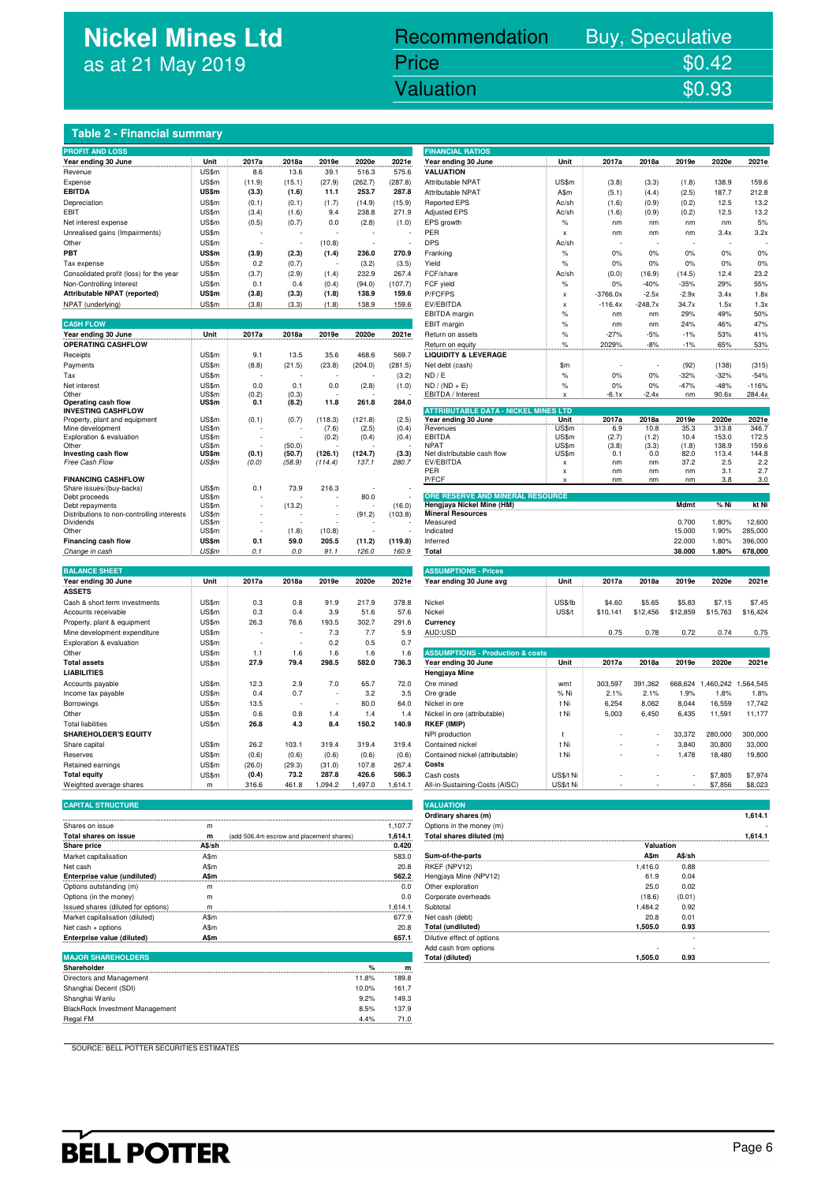## **Nickel Mines Ltd** as at 21 May 2019

### nickel Mines Library (1988). The Company of the United States of the United States of the United States of the<br>The Company of the United States of the United States of the United States of the United States of the United Recommendation Buy, Speculative Price \$0.42<br>Valuation \$0.93 Valuation

#### **Table 2 - Financial summary**

| <b>PROFIT AND LOSS</b>                            |                |        |        |                  |                  |                | <b>FINANCIAL RATIOS</b>                     |                           |              |               |               |                |                |
|---------------------------------------------------|----------------|--------|--------|------------------|------------------|----------------|---------------------------------------------|---------------------------|--------------|---------------|---------------|----------------|----------------|
| Year ending 30 June<br>.                          | Unit           | 2017a  | 2018a  | 2019e            | 2020e            | 2021e          | Year ending 30 June<br>.                    | Unit                      | 2017a        | 2018a         | 2019e         | 2020e          | 2021e          |
| Revenue                                           | US\$m          | 8.6    | 13.6   | 39.1             | 516.3            | 575.6          | <b>VALUATION</b>                            |                           |              |               |               |                |                |
| Expense                                           | US\$m          | (11.9) | (15.1) | (27.9)           | (262.7)          | (287.8)        | Attributable NPAT                           | US\$m                     | (3.8)        | (3.3)         | (1.8)         | 138.9          | 159.6          |
| <b>EBITDA</b>                                     | US\$m          | (3.3)  | (1.6)  | 11.1             | 253.7            | 287.8          | Attributable NPAT                           | A\$m                      | (5.1)        | (4.4)         | (2.5)         | 187.7          | 212.8          |
| Depreciation                                      | US\$m          | (0.1)  | (0.1)  | (1.7)            | (14.9)           | (15.9)         | <b>Reported EPS</b>                         | Ac/sh                     | (1.6)        | (0.9)         | (0.2)         | 12.5           | 13.2           |
| EBIT                                              | US\$m          | (3.4)  | (1.6)  | 9.4              | 238.8            | 271.9          | <b>Adjusted EPS</b>                         | Ac/sh                     | (1.6)        | (0.9)         | (0.2)         | 12.5           | 13.2           |
| Net interest expense                              | US\$m          | (0.5)  | (0.7)  | 0.0              | (2.8)            | (1.0)          | EPS growth                                  | $\%$                      | nm           | nm            | nm            | nm             | 5%             |
| Unrealised gains (Impairments)                    | US\$m          |        |        |                  |                  |                | PER                                         | $\boldsymbol{\mathsf{x}}$ | nm           | nm            | nm            | 3.4x           | 3.2x           |
|                                                   |                |        |        |                  |                  |                | <b>DPS</b>                                  |                           |              |               |               |                |                |
| Other                                             | US\$m          |        |        | (10.8)           |                  |                |                                             | Ac/sh                     |              |               |               |                |                |
| PBT                                               | US\$m          | (3.9)  | (2.3)  | (1.4)            | 236.0            | 270.9          | Franking                                    | $\%$                      | 0%           | 0%            | 0%            | 0%             | 0%             |
| Tax expense                                       | US\$m          | 0.2    | (0.7)  |                  | (3.2)            | (3.5)          | Yield                                       | $\%$                      | 0%           | 0%            | 0%            | 0%             | 0%             |
| Consolidated profit (loss) for the year           | US\$m          | (3.7)  | (2.9)  | (1.4)            | 232.9            | 267.4          | FCF/share                                   | Ac/sh                     | (0.0)        | (16.9)        | (14.5)        | 12.4           | 23.2           |
| Non-Controlling Interest                          | US\$m          | 0.1    | 0.4    | (0.4)            | (94.0)           | (107.7)        | FCF yield                                   | $\%$                      | 0%           | $-40%$        | $-35%$        | 29%            | 55%            |
| Attributable NPAT (reported)                      | US\$m          | (3.8)  | (3.3)  | (1.8)            | 138.9            | 159.6          | P/FCFPS                                     | $\boldsymbol{\mathsf{x}}$ | $-3766.0x$   | $-2.5x$       | $-2.9x$       | 3.4x           | 1.8x           |
| NPAT (underlying)                                 | US\$m          | (3.8)  | (3.3)  | (1.8)            | 138.9            | 159.6          | EV/EBITDA                                   | $\mathbf{x}$              | $-116.4x$    | $-248.7x$     | 34.7x         | 1.5x           | 1.3x           |
|                                                   |                |        |        |                  |                  |                | EBITDA margin                               | %                         | nm           | nm            | 29%           | 49%            | 50%            |
| <b>CASH FLOW</b>                                  |                |        |        |                  |                  |                | EBIT margin                                 | $\frac{9}{6}$             | nm           | nm            | 24%           | 46%            | 47%            |
| Year ending 30 June                               | Unit           | 2017a  | 2018a  | 2019e            | 2020e            | 2021e          | Return on assets                            | $\%$                      | $-27%$       | $-5%$         | $-1%$         | 53%            | 41%            |
| <b>OPERATING CASHFLOW</b>                         |                |        |        |                  |                  |                | Return on equity                            | %                         | 2029%        | $-8%$         | $-1%$         | 65%            | 53%            |
| Receipts                                          | US\$m          | 9.1    | 13.5   | 35.6             | 468.6            | 569.7          | <b>LIQUIDITY &amp; LEVERAGE</b>             |                           |              |               |               |                |                |
| Payments                                          | US\$m          | (8.8)  | (21.5) | (23.8)           | (204.0)          | (281.5)        | Net debt (cash)                             | \$m                       |              |               | (92)          | (138)          | (315)          |
| Tax                                               | US\$m          |        |        |                  |                  | (3.2)          | ND / E                                      | $\%$                      | 0%           | 0%            | $-32%$        | $-32%$         | $-54%$         |
| Net interest                                      | US\$m          | 0.0    | 0.1    | 0.0              | (2.8)            | (1.0)          | $ND / (ND + E)$                             | $\%$                      | 0%           | 0%            | $-47%$        | $-48%$         | $-116%$        |
| Other                                             | US\$m          | (0.2)  | (0.3)  |                  |                  |                | EBITDA / Interest                           | X                         | $-6.1x$      | $-2.4x$       | nm            | 90.6x          | 284.4x         |
| Operating cash flow                               | US\$m          | 0.1    | (8.2)  | 11.8             | 261.8            | 284.0          |                                             |                           |              |               |               |                |                |
| <b>INVESTING CASHFLOW</b>                         |                |        |        |                  |                  |                | <b>ATTRIBUTABLE DATA - NICKEL MINES LTD</b> |                           |              |               |               |                |                |
| Property, plant and equipment<br>Mine development | US\$m<br>US\$m | (0.1)  | (0.7)  | (118.3)<br>(7.6) | (121.8)<br>(2.5) | (2.5)<br>(0.4) | Year ending 30 June<br>Revenues             | Unit<br>US\$m             | 2017a<br>6.9 | 2018a<br>10.8 | 2019e<br>35.3 | 2020e<br>313.8 | 2021e<br>346.7 |
| Exploration & evaluation                          | US\$m          |        |        | (0.2)            | (0.4)            | (0.4)          | <b>EBITDA</b>                               | US\$m                     | (2.7)        | (1.2)         | 10.4          | 153.0          | 172.5          |
| Other                                             | US\$m          |        | (50.0) |                  |                  |                | <b>NPAT</b>                                 | <b>US\$m</b>              | (3.8)        | (3.3)         | (1.8)         | 138.9          | 159.6          |
| Investing cash flow                               | US\$m          | (0.1)  | (50.7) | (126.1)          | (124.7)          | (3.3)          | Net distributable cash flow                 | US\$m                     | 0.1          | 0.0           | 82.0          | 113.4          | 144.8          |
| Free Cash Flow                                    | US\$m          | (0.0)  | (58.9) | (114.4)          | 137.1            | 280.7          | EV/EBITDA                                   | $\pmb{\times}$            | nm           | nm            | 37.2          | 2.5            | 2.2            |
|                                                   |                |        |        |                  |                  |                | PER                                         | X                         | nm           | nm            | nm            | 3.1            | 2.7            |
| <b>FINANCING CASHFLOW</b>                         |                |        |        |                  |                  |                | P/FCF                                       | $\boldsymbol{\mathsf{x}}$ | nm           | nm            | nm            | 3.8            | 3.0            |
| Share issues/(buy-backs)<br>Debt proceeds         | US\$m<br>US\$m | 0.1    | 73.9   | 216.3            | 80.0             |                | ORE RESERVE AND MINERAL RESOURCE            |                           |              |               |               |                |                |
| Debt repayments                                   | US\$m          |        | (13.2) |                  |                  | (16.0)         | Hengjaya Nickel Mine (HM)                   |                           |              |               | Mdmt          | % Ni           | kt Ni          |
| Distributions to non-controlling interests        | US\$m          |        |        |                  | (91.2)           | (103.8)        | <b>Mineral Resources</b>                    |                           |              |               |               |                |                |
| Dividends                                         | US\$m          |        |        |                  |                  |                | Measured                                    |                           |              |               | 0.700         | 1.80%          | 12,600         |
| Other                                             | US\$m          | Ĭ.     | (1.8)  | (10.8)           |                  |                | Indicated                                   |                           |              |               | 15.000        | 1.90%          | 285,000        |
| <b>Financing cash flow</b>                        | US\$m          | 0.1    | 59.0   | 205.5            | (11.2)           | (119.8)        | Inferred                                    |                           |              |               | 22.000        | 1.80%          | 396,000        |
| Change in cash                                    | US\$m          | 0.1    | 0.0    | 91.1             | 126.0            | 160.9          | Total                                       |                           |              |               | 38.000        | 1.80%          | 678,000        |
|                                                   |                |        |        |                  |                  |                |                                             |                           |              |               |               |                |                |
| <b>BALANCE SHEET</b>                              |                |        |        |                  |                  |                | <b>ASSUMPTIONS - Prices</b>                 |                           |              |               |               |                |                |
| Year ending 30 June                               | Unit           | 2017a  | 2018a  | 2019e            | 2020e            | 2021e          | Year ending 30 June avg                     | Unit                      | 2017a        | 2018a         | 2019e         | 2020e          | 2021e          |
| <b>ASSETS</b>                                     |                |        |        |                  |                  |                |                                             |                           |              |               |               |                |                |
| Cash & short term investments                     | US\$m          | 0.3    | 0.8    | 91.9             | 217.9            | 378.8          | Nickel                                      | <b>US\$/lb</b>            | \$4.60       | \$5.65        | \$5.83        | \$7.15         | \$7.45         |
| Accounts receivable                               | US\$m          | 0.3    | 0.4    | 3.9              | 51.6             | 57.6           | Nickel                                      | <b>US\$/t</b>             | \$10,141     | \$12,456      | \$12,859      | \$15,763       | \$16,424       |
| Property, plant & equipment                       | US\$m          | 26.3   | 76.6   | 193.5            | 302.7            | 291.6          | Currency                                    |                           |              |               |               |                |                |
| Mine development expenditure                      | US\$m          |        |        | 7.3              | 7.7              | 5.9            | AUD:USD                                     |                           | 0.75         | 0.78          | 0.72          | 0.74           | 0.75           |
| Exploration & evaluation                          | US\$m          |        |        | 0.2              | 0.5              | 0.7            |                                             |                           |              |               |               |                |                |
| Other                                             | US\$m          | 1.1    | 1.6    | 1.6              | 1.6              | 1.6            | <b>ASSUMPTIONS - Production &amp; costs</b> |                           |              |               |               |                |                |
| <b>Total assets</b>                               | US\$m          | 27.9   | 79.4   | 298.5            | 582.0            | 736.3          | Year ending 30 June                         | Unit                      | 2017a        | 2018a         | 2019e         | 2020e          | 2021e          |
| <b>LIABILITIES</b>                                |                |        |        |                  |                  |                | Hengjaya Mine                               |                           |              |               |               |                |                |
| Accounts payable                                  | US\$m          | 12.3   | 2.9    | 7.0              | 65.7             | 72.0           | Ore mined                                   | wmt                       | 303,597      | 391,362       | 668,624       | 1,460,242      | 1,564,545      |
| Income tax payable                                | US\$m          | 0.4    | 0.7    |                  | 3.2              | 3.5            | Ore grade                                   | % Ni                      | 2.1%         | 2.1%          | 1.9%          | 1.8%           | 1.8%           |
|                                                   | US\$m          | 13.5   |        | ÷,               | 80.0             | 64.0           |                                             | t Ni                      | 6,254        | 8,062         | 8,044         | 16,559         | 17,742         |
| Borrowings                                        |                |        |        |                  |                  |                | Nickel in ore                               |                           |              |               |               |                |                |
| Other                                             | US\$m          | 0.6    | 0.8    | 1.4              | 1.4              | 1.4            | Nickel in ore (attributable)                | t Ni                      | 5,003        | 6,450         | 6,435         | 11,591         | 11,177         |
| <b>Total liabilities</b>                          | US\$m          | 26.8   | 4.3    | 8.4              | 150.2            | 140.9          | <b>RKEF (IMIP)</b>                          |                           |              |               |               |                |                |
| <b>SHAREHOLDER'S EQUITY</b>                       |                |        |        |                  |                  |                | NPI production                              | t                         |              |               | 33,372        | 280,000        | 300,000        |
| Share capital                                     | US\$m          | 26.2   | 103.1  | 319.4            | 319.4            | 319.4          | Contained nickel                            | t Ni                      |              |               | 3,840         | 30,800         | 33,000         |
| Reserves                                          | US\$m          | (0.6)  | (0.6)  | (0.6)            | (0.6)            | (0.6)          | Contained nickel (attributable)             | t Ni                      |              |               | 1,478         | 18,480         | 19,800         |
| Retained earnings                                 | US\$m          | (26.0) | (29.3) | (31.0)           | 107.8            | 267.4          | Costs                                       |                           |              |               |               |                |                |
| <b>Total equity</b>                               | US\$m          | (0.4)  | 73.2   | 287.8            | 426.6            | 586.3          | Cash costs                                  | US\$/t Ni                 |              |               |               | \$7,805        | \$7,974        |
| Weighted average shares                           | m              | 316.6  | 461.8  | 1,094.2          | 1,497.0          | 1,614.1        | All-in-Sustaining-Costs (AISC)              | US\$/t Ni                 |              |               |               | \$7,856        | \$8,023        |
|                                                   |                |        |        |                  |                  |                |                                             |                           |              |               |               |                |                |
| <b>CAPITAL STRUCTURE</b>                          |                |        |        |                  |                  |                | <b>VALUATION</b>                            |                           |              |               |               |                |                |

| <b>CAPITAL STRUCTUI</b> |  |  |
|-------------------------|--|--|
|                         |  |  |
|                         |  |  |

|                                     |             |                                          |         | Ulullialy Silarcs (III)    |           |        | 1.017.1 |
|-------------------------------------|-------------|------------------------------------------|---------|----------------------------|-----------|--------|---------|
| Shares on issue                     | m           |                                          | 1,107.7 | Options in the money (m)   |           |        |         |
| Total shares on issue               | m           | (add 506.4m escrow and placement shares) | 1.614.1 | Total shares diluted (m)   |           |        | 1.614.1 |
| <b>Share price</b>                  | $A\$ s      |                                          | 0.420   |                            | Valuation |        |         |
| Market capitalisation               | A\$m        |                                          | 583.0   | Sum-of-the-parts           | A\$m      | A\$/sh |         |
| Net cash                            | A\$m        |                                          | 20.8    | RKEF (NPV12)               | 1.416.0   | 0.88   |         |
| Enterprise value (undiluted)        | <b>A\$m</b> |                                          | 562.2   | Hengiaya Mine (NPV12)      | 61.9      | 0.04   |         |
| Options outstanding (m)             | m           |                                          | 0.0     | Other exploration          | 25.0      | 0.02   |         |
| Options (in the money)              | m           |                                          | 0.0     | Corporate overheads        | (18.6)    | (0.01) |         |
| Issued shares (diluted for options) |             |                                          | 1.614.1 | Subtotal                   | 1.484.2   | 0.92   |         |
| Market capitalisation (diluted)     | A\$m        |                                          | 677.9   | Net cash (debt)            | 20.8      | 0.01   |         |
| Net cash + options                  | A\$m        |                                          | 20.8    | <b>Total (undiluted)</b>   | 1.505.0   | 0.93   |         |
| Enterprise value (diluted)          | <b>A\$m</b> |                                          | 657.1   | Dilutive effect of options |           |        |         |
|                                     |             |                                          |         | Add cash from options      |           |        |         |

#### **MAJOR SHAREHOLDERS 1,505.0 0.93 1,505.0 0.93 1,505.0 1,505.0 1.1915.0 1.1915.0 1.1915.0 1.1915.0 1.1915.0 1.1915.0 1.1915.0 1.1915.0 1.1915.0 1.1915.0 1.1915.0 1.1915.0 1.1915.0 1.1915.0 1.1915.0 1.1915.0 1.1915.0 1**

| Shareholder                            | $\%$  | m     |
|----------------------------------------|-------|-------|
| Directors and Management               | 11.8% | 189.8 |
| Shanghai Decent (SDI)                  | 10.0% | 161.7 |
| Shanghai Wanlu                         | 9.2%  | 149.3 |
| <b>BlackRock Investment Management</b> | 8.5%  | 137.9 |
| Regal FM                               | 4.4%  | 71.0  |

| <b>FINANCIAL RATIOS</b>                                              |                           |                         |                      |                  |                     |              |
|----------------------------------------------------------------------|---------------------------|-------------------------|----------------------|------------------|---------------------|--------------|
| Year ending 30 June                                                  | Unit                      | 2017a                   | 2018a                | 2019e            | 2020e               | 2021e        |
| VALUATION                                                            |                           |                         |                      |                  |                     |              |
| Attributable NPAT                                                    | US\$m                     | (3.8)                   | (3.3)                | (1.8)            | 138.9               | 159.6        |
| Attributable NPAT                                                    | A\$m                      | (5.1)                   | (4.4)                | (2.5)            | 187.7               | 212.8        |
| <b>Reported EPS</b>                                                  | Ac/sh                     | (1.6)                   | (0.9)                | (0.2)            | 12.5                | 13.2         |
| <b>Adjusted EPS</b>                                                  | Ac/sh                     | (1.6)                   | (0.9)                | (0.2)            | 12.5                | 13.2         |
| EPS growth                                                           | %                         | nm                      | nm                   | nm               | nm                  | 5%           |
| PER                                                                  | $\boldsymbol{\mathsf{x}}$ | nm                      | nm                   | nm               | 3.4x                | 3.2x         |
| DPS                                                                  | Ac/sh                     |                         |                      |                  |                     |              |
| Franking                                                             | %                         | 0%                      | 0%                   | 0%               | 0%                  | 0%           |
| Yield                                                                | $\%$                      | 0%                      | 0%                   | 0%               | 0%                  | 0%           |
| FCF/share                                                            | Ac/sh                     | (0.0)                   | (16.9)               | (14.5)           | 12.4                | 23.2         |
| FCF yield<br>P/FCFPS                                                 | $\%$                      | 0%                      | $-40%$               | $-35%$           | 29%<br>3.4x         | 55%          |
| EV/EBITDA                                                            | X<br>X                    | $-3766.0x$<br>$-116.4x$ | $-2.5x$<br>$-248.7x$ | $-2.9x$<br>34.7x | 1.5x                | 1.8x<br>1.3x |
| EBITDA margin                                                        | %                         | nm                      | nm                   | 29%              | 49%                 | 50%          |
| EBIT margin                                                          | %                         | nm                      | nm                   | 24%              | 46%                 | 47%          |
| Return on assets                                                     | $\%$                      | $-27%$                  | $-5%$                | $-1%$            | 53%                 | 41%          |
| Return on equity                                                     | $\%$                      | 2029%                   | $-8%$                | $-1\%$           | 65%                 | 53%          |
| LIQUIDITY & LEVERAGE                                                 |                           |                         |                      |                  |                     |              |
| Net debt (cash)                                                      | \$m                       |                         |                      | (92)             | (138)               | (315)        |
| ND / E                                                               | %                         | 0%                      | 0%                   | $-32%$           | $-32%$              | $-54%$       |
| $ND / (ND + E)$                                                      | $\%$                      | 0%                      | 0%                   | $-47%$           | $-48%$              | $-116%$      |
| EBITDA / Interest                                                    | x                         | $-6.1x$                 | $-2.4x$              | nm               | 90.6x               | 284.4x       |
|                                                                      |                           |                         |                      |                  |                     |              |
| <b>ATTRIBUTABLE DATA - NICKEL MINES LTD</b><br>Year ending 30 June   | Unit                      | 2017a                   | 2018a                | 2019e            | 2020e               | 2021e        |
| Revenues                                                             | US\$m                     | 6.9                     | 10.8                 | 35.3             | 313.8               | 346.7        |
| EBITDA                                                               | US\$m                     | (2.7)                   | (1.2)                | 10.4             | 153.0               | 172.5        |
| <b>NPAT</b>                                                          | US\$m                     | (3.8)                   | (3.3)                | (1.8)            | 138.9               | 159.6        |
| Net distributable cash flow<br>EV/EBITDA                             | US\$m<br>x                | 0.1<br>nm               | 0.0<br>nm            | 82.0<br>37.2     | 113.4<br>2.5        | 144.8<br>2.2 |
| PER                                                                  | X                         | nm                      | nm                   | nm               | 3.1                 | 2.7          |
| P/FCF                                                                | X                         | nm                      | nm                   | nm               | 3.8                 | 3.0          |
|                                                                      |                           |                         |                      |                  |                     |              |
| <b>ORE RESERVE AND MINERAL RESOURCE</b><br>Hengjaya Nickel Mine (HM) |                           |                         |                      | Mdmt             | % Ni                | kt Ni        |
| <b>Mineral Resources</b>                                             |                           |                         |                      |                  |                     |              |
| Measured                                                             |                           |                         |                      | 0.700            | 1.80%               | 12,600       |
| Indicated                                                            |                           |                         |                      | 15.000           | 1.90%               | 285,000      |
| Inferred                                                             |                           |                         |                      | 22.000           | 1.80%               | 396,000      |
| Total                                                                |                           |                         |                      | 38.000           | 1.80%               | 678,000      |
| <b>ASSUMPTIONS - Prices</b>                                          |                           |                         |                      |                  |                     |              |
| Year ending 30 June avg                                              | Unit                      | 2017a                   | 2018a                | 2019e            | 2020e               | 2021e        |
|                                                                      |                           |                         |                      |                  |                     |              |
| Nickel                                                               | US\$/lb                   | \$4.60                  | \$5.65               | \$5.83           | \$7.15              | \$7.45       |
| Nickel                                                               | US\$/t                    | \$10,141                | \$12,456             | \$12,859         | \$15,763            | \$16,424     |
| Currency                                                             |                           |                         |                      |                  |                     |              |
| AUD:USD                                                              |                           | 0.75                    | 0.78                 | 0.72             | 0.74                | 0.75         |
|                                                                      |                           |                         |                      |                  |                     |              |
| <b>ASSUMPTIONS - Production &amp; costs</b>                          |                           |                         |                      |                  |                     |              |
| Year ending 30 June                                                  | Unit                      | 2017a                   | 2018a                | 2019e            | 2020e               | 2021e        |
| Hengjaya Mine                                                        |                           |                         |                      |                  |                     |              |
| Ore mined                                                            | wmt                       | 303,597                 | 391,362              | 668,624          | 1,460,242 1,564,545 |              |
| Ore grade                                                            | % Ni                      | 2.1%                    | 2.1%                 | 1.9%             | 1.8%                | 1.8%         |
| Nickel in ore                                                        | t Ni                      | 6,254                   | 8,062                | 8,044            | 16,559              | 17,742       |
| Nickel in ore (attributable)                                         | t Ni                      | 5,003                   | 6,450                | 6,435            | 11,591              | 11,177       |
| RKEF (IMIP)                                                          |                           |                         |                      |                  |                     |              |
| NPI production<br>Contained nickel                                   | t                         |                         |                      | 33,372           | 280,000             | 300,000      |
|                                                                      | t Ni                      |                         |                      | 3,840            | 30,800              | 33,000       |
| Contained nickel (attributable)<br>Costs                             | t Ni                      |                         |                      | 1,478            | 18,480              | 19,800       |
| Cash costs                                                           | US\$/t Ni                 |                         |                      |                  | \$7,805             | \$7,974      |
| All-in-Sustaining-Costs (AISC)                                       | US\$/t Ni                 |                         |                      |                  | \$7,856             | \$8,023      |
|                                                                      |                           |                         |                      |                  |                     |              |
| <b>VALUATION</b>                                                     |                           |                         |                      |                  |                     |              |
| Ordinary shares (m)                                                  |                           |                         |                      |                  |                     | 1,614.1      |
| Options in the money (m)                                             |                           |                         |                      |                  |                     |              |
| Total shares diluted (m)                                             |                           |                         |                      |                  |                     | 1,614.1      |
|                                                                      |                           |                         | Valuation            |                  |                     |              |
| Sum-of-the-parts                                                     |                           |                         | A\$m                 | A\$/sh           |                     |              |
| RKEF (NPV12)                                                         |                           |                         | 1,416.0              | 0.88             |                     |              |
| Hengjaya Mine (NPV12)                                                |                           |                         | 61.9                 | 0.04             |                     |              |
| Other exploration                                                    |                           |                         | 25.0                 | 0.02             |                     |              |
| Corporate overheads<br>Subtotal                                      |                           |                         | (18.6)<br>1 484 2    | (0.01)<br>0.92   |                     |              |
|                                                                      |                           |                         |                      |                  |                     |              |

SOURCE: BELL POTTER SECURITIES ESTIMATES